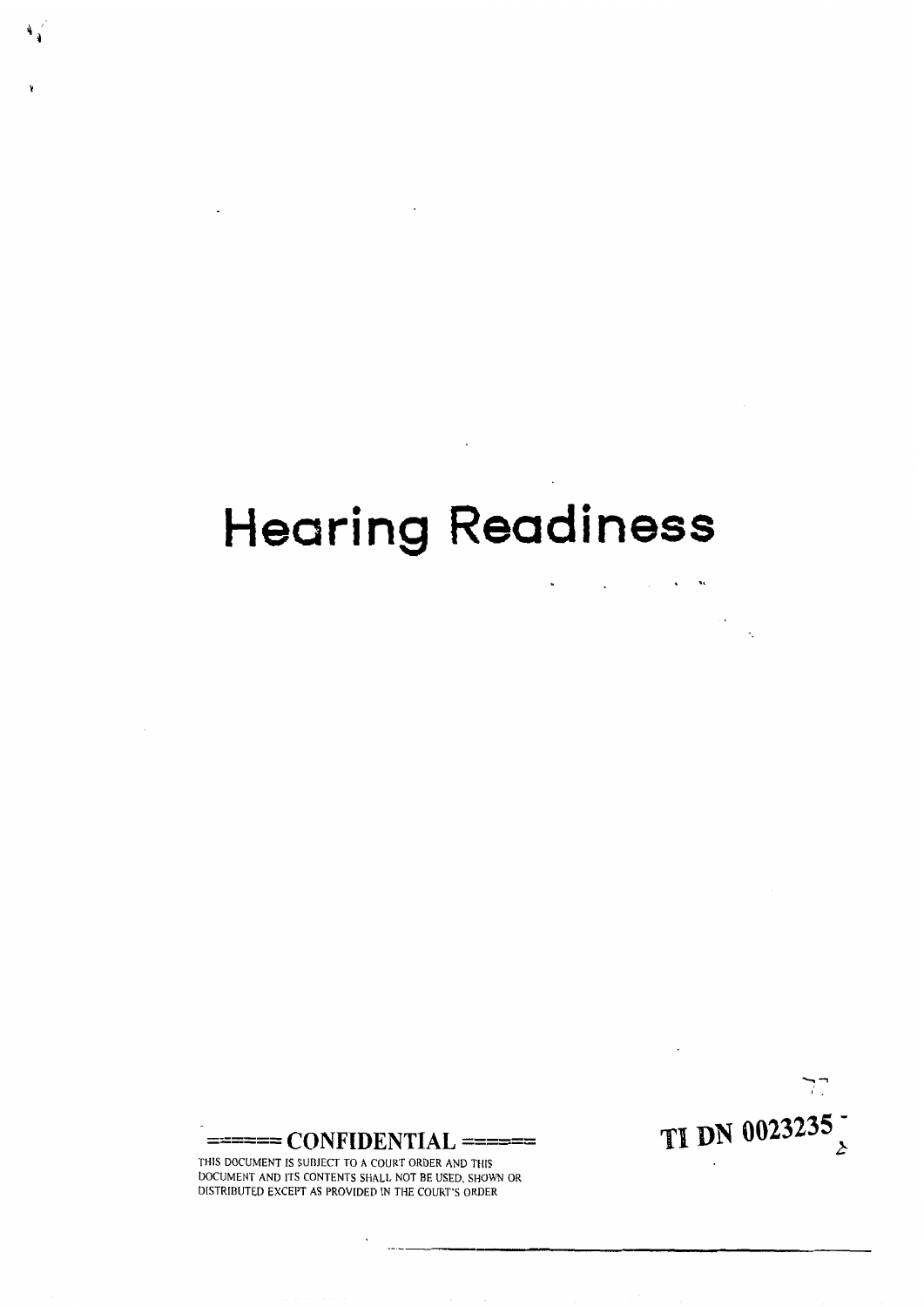# Hearing **Readiness**

 $\mathcal{O}(\mathbb{R}^2)$  . The set of the set of the set of  $\mathbb{R}^2$ 

 $\mathcal{L}(\mathcal{L}^{\mathcal{L}})$  . The contract of  $\mathcal{L}^{\mathcal{L}}$ 

 $\mathcal{L}(\mathcal{L})$  and  $\mathcal{L}(\mathcal{L})$  . The  $\mathcal{L}(\mathcal{L})$ 

 $\mathbf{L}^{\text{max}}$  and  $\mathbf{L}^{\text{max}}$ 

TI DN 0023235 $\frac{1}{2}$ 

 $7^{\circ}$ 



THIS DOCUMENT IS SUBJECT TO A COURT ORDER AND THIS DOCUMENT AND ITS CONTENTS SHALL NOT BE USED. SHOWN OR DISTRIBUTED **EXCEPT** AS PROVIDED IN THE COURT'S ORDER

 $\cdot$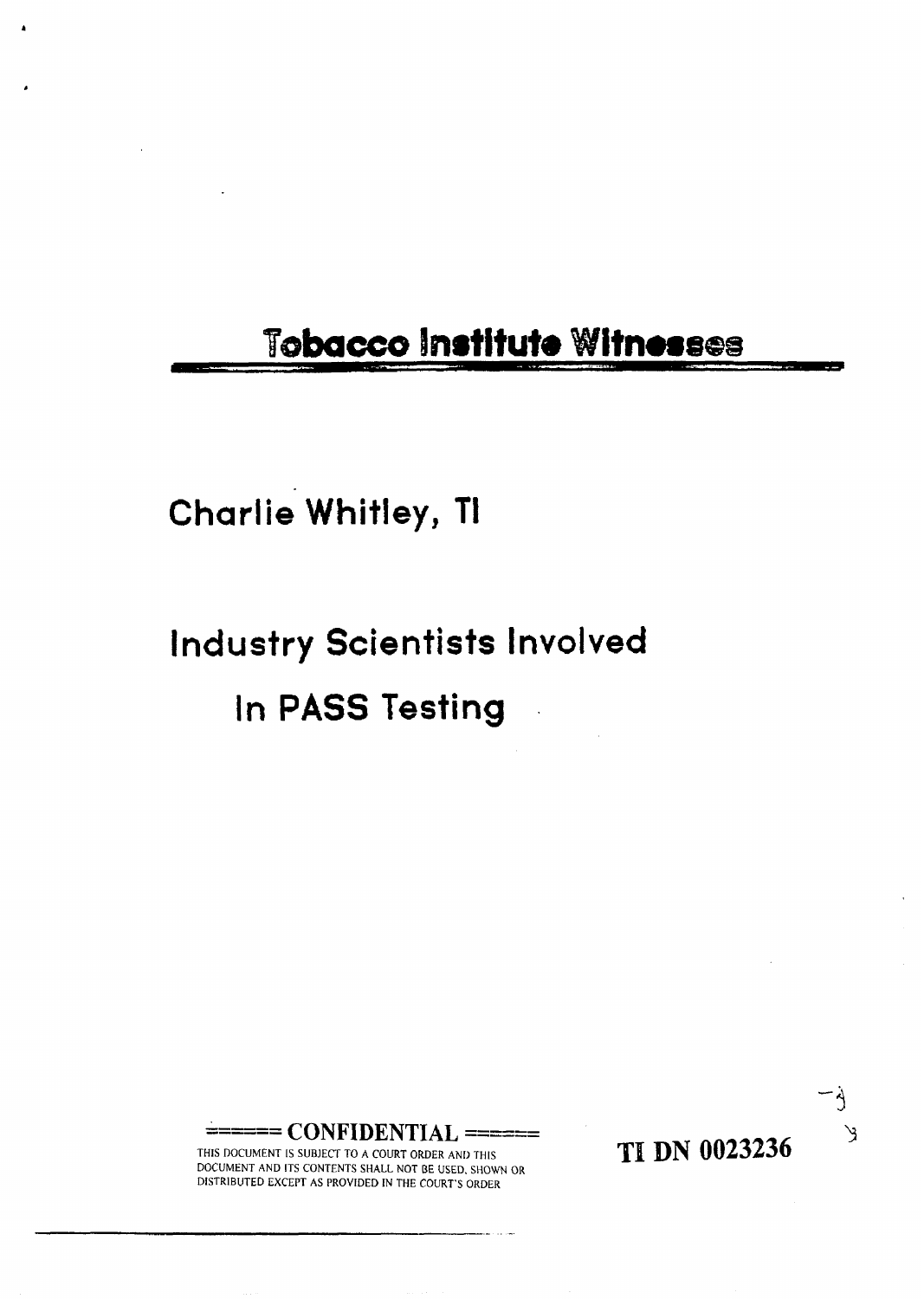### Tobacco Institute Witnesses

#### **Charlie Whitley, TI**

## **Industry Scientists Involved**  In **PASS Testing** .

== CONFIDENTIAL ======

THIS DOCUMENT IS SUBJECT TO A COURT ORDER AND THIS DOCUMENT AND ITS CONTENTS SHALL NOT **BE** USED. SHOWN OR DISTRIBUTED EXCEPT AS PROVIDED IN THE **COURT'S** ORDER

**TI DN 0023236** 

 $\Delta$ 

 $\mathcal{A}$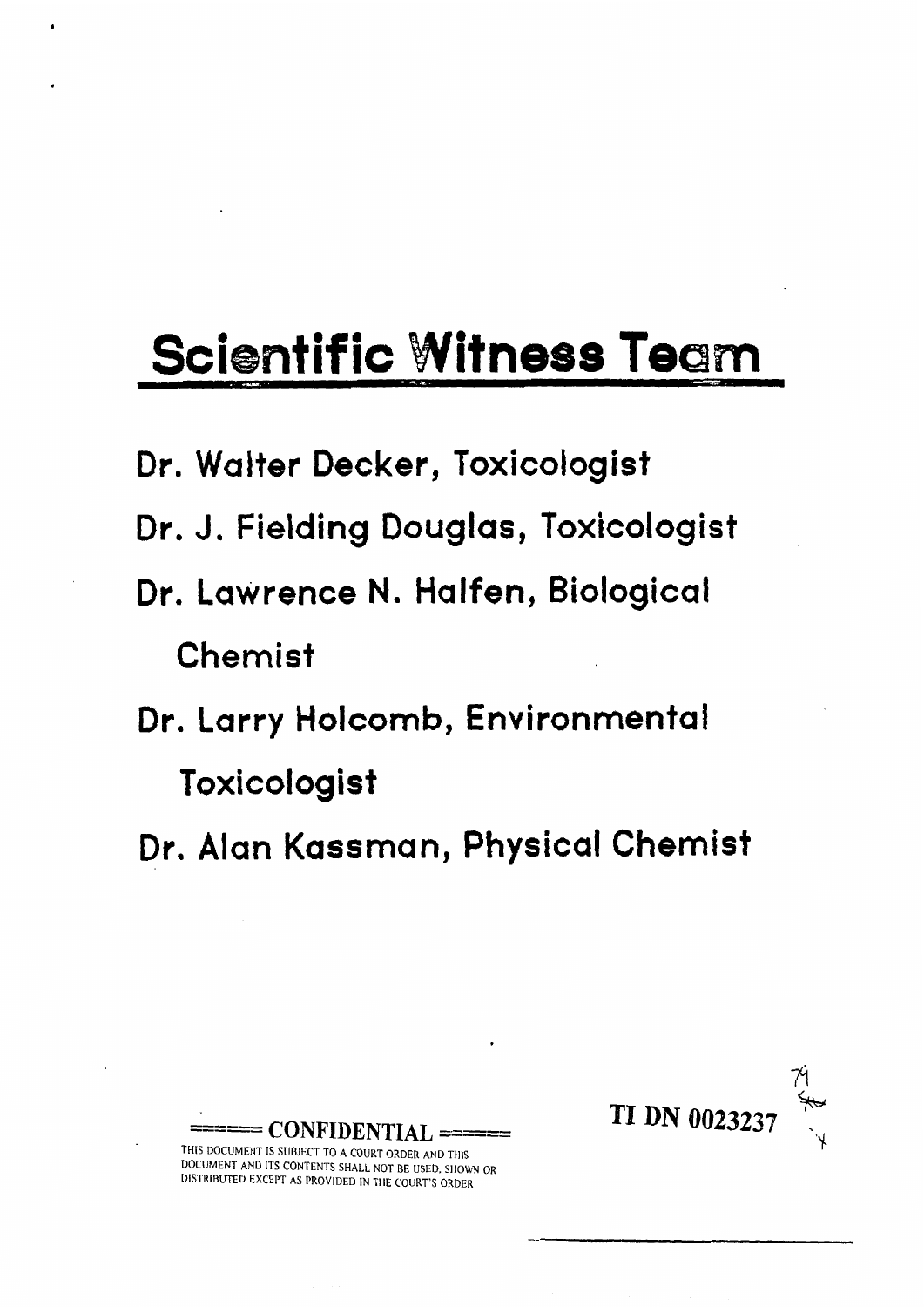# **Scientific Witness Team**

- **Dr. Walter Decker, Toxicologist**
- **Dr. J. Fielding Douglas, Toxicologist**
- **Dr. Lawrence** N. **Halfen, Biological Chemist**
- **Dr. Larry Holcornb, Environmental Toxicologist**
- **Dr. Alan Kassman, Physical Chemist**



**\_\_\_\_\_I CONFIDENTIAL** ====== **THIS** DOCUMENT IS SUBJECT TO **A** COURT ORDER AND THIS DOCUMENT AND ITS CONTENTS **SHALL** NOT BE USED, **SllOWN** OR DISTRIBUTED EXCEPT **AS** PROVIDED IN **THE** COURT'S ORDER

-<br>--------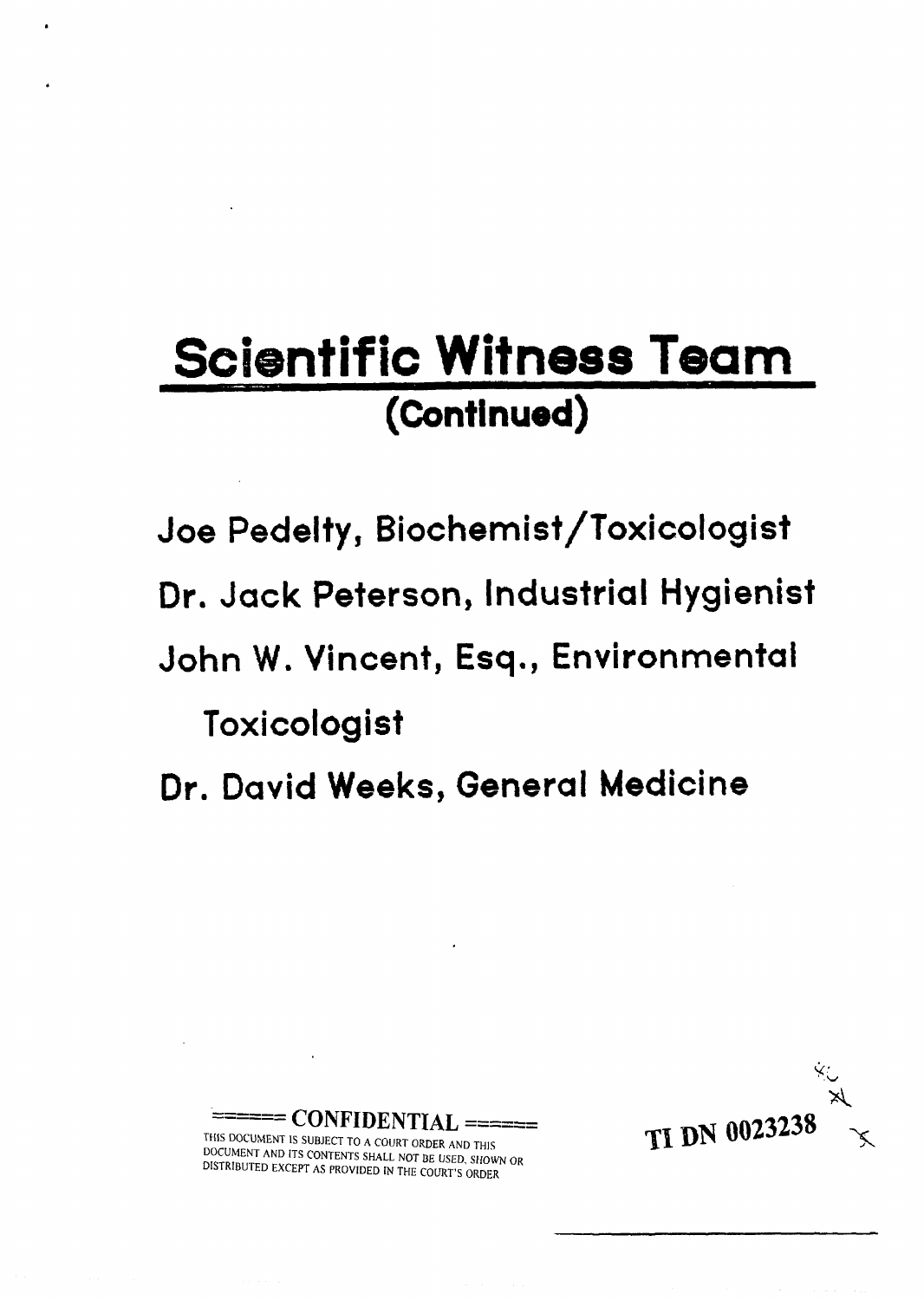## **Scientific Witness Team**  (Continued)

**Joe Pedelty, Biochemist/Toxicologist** 

**Dr. Jack Peterson, Industrial Hygienist** 

**John W. Vincent, Esq., Environmental** 

**Toxicologist** 

**Dr. David Weeks, General Medicine** 



THIS DOCUMENT IS SUBJECT TO A COURT ORDER AND THIS DOCUMENT AND ITS CONTENTS SHALL NOT BE USED, SHOWN OR DISTRIBUTED EXCEPT AS PROVIDED IN THE COURT'S ORDER

------ \_\_\_\_\_\_ **CONFIDENTIAL** ======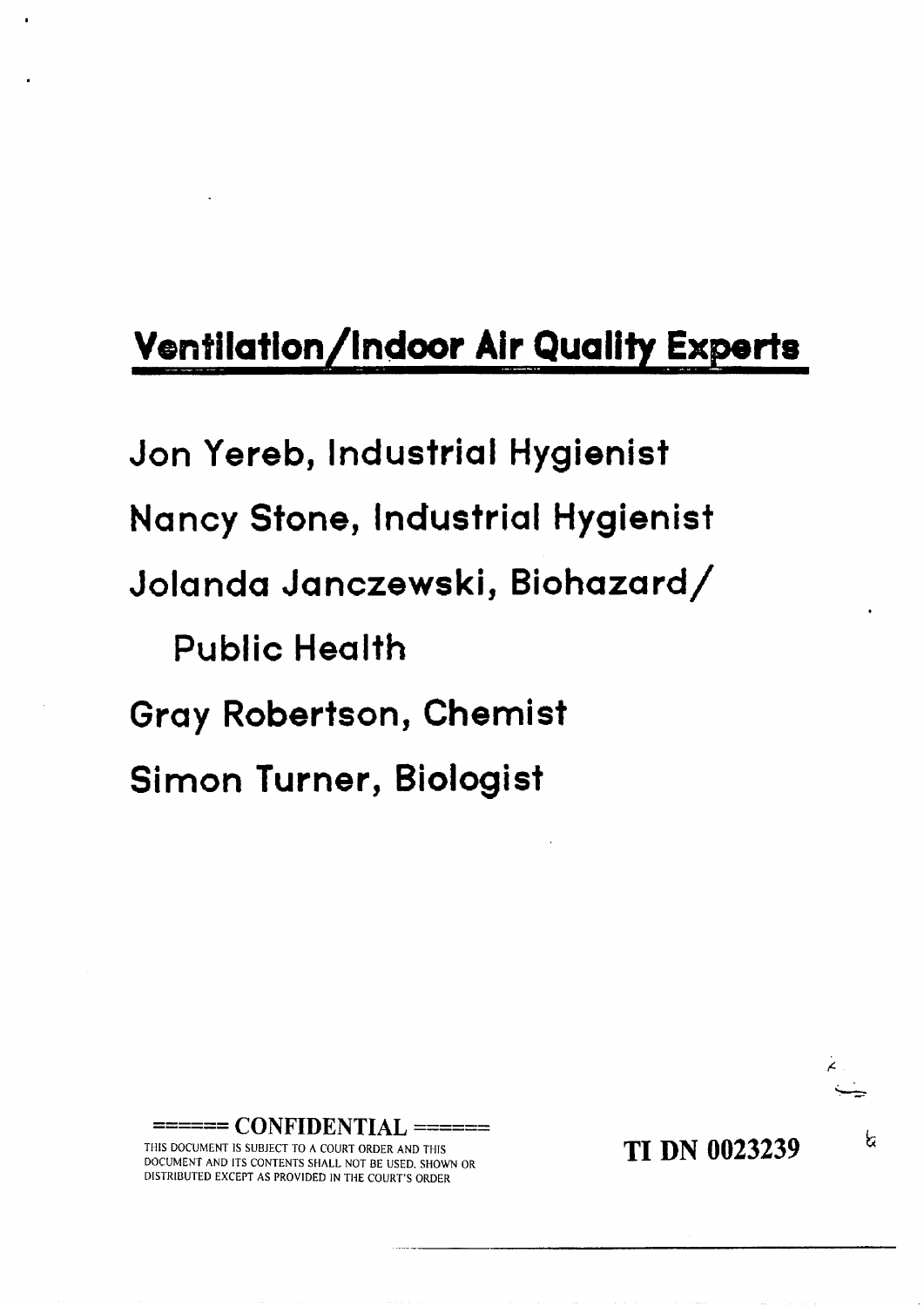## **Ventilation/Indoor Air Quality Experts**

**Jon Yereb, lndustrial Hygienist Nancy Stone, Industrial Hygienist Jolanda Janczewski, Biohazard/ Public Health Gray Robertson, Chemist Simon Turner, Biologist** 

------ **CONFIDENTIAL** ======

THIS DOCUMENT IS SUBJECT TO A COURT ORDER AND THIS DOCUMENT AND ITS CONTENTS SHALL NOT BE USED. SHOWN OR DISTRIBUTED EXCEPT AS PROVIDED IN TllE COURT'S ORDER

**TI DN 0023239** 

६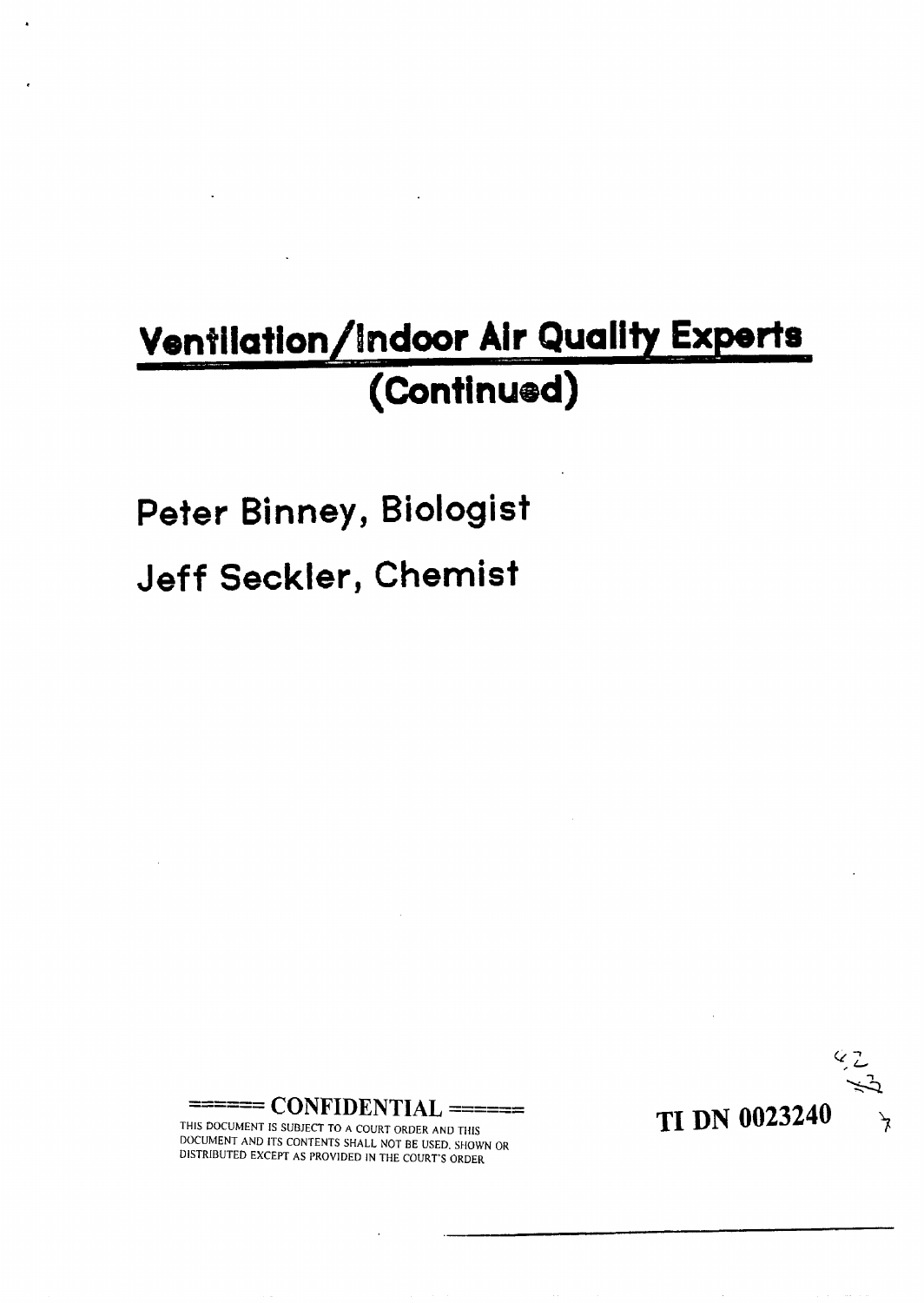## Ventilation/Indoor Air Quality Experts **(Continued)**

#### **Peter Binney, Biologist**

#### **Jeff Seckler, Chemist**



------ **CONFIDENTIAL** ======

THIS DOCUMENT IS SUBJECT TO **A** COURT ORDER AND THIS DOCUMENT AND ITS CONTENTS SHALL NOT BE USED. SHOWN OR DlSTRlBUTED EXCEPT AS PROVIDED IN THE COURT'S ORDER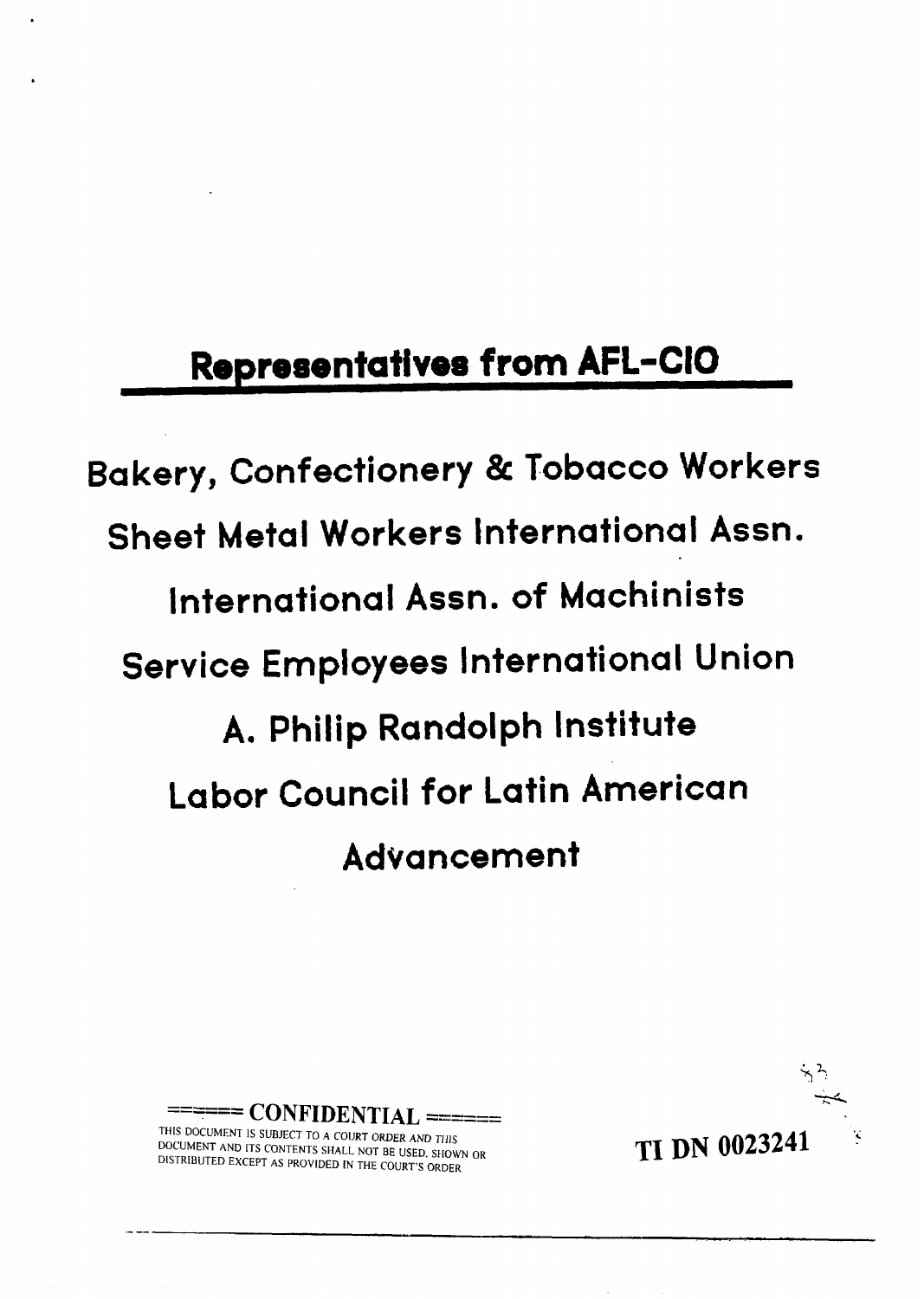## **Representatives from AFL-CIO**

**Bakery, Confectionery** & **Tobacco Workers Sheet Metal Workers International Assn. international Assn. of Machinists Service Employees International Union A. Philip Randolph Institute Labor Council for Latin American Advancement** 



THIS DOCUMENT IS SUBJECT TO **A** COURT ORDER AND THIS DOCUMENT **AND** ITS CONTENTS SHALL NOT BE USED. SHOWN OR DISTRIBUTED EXCEPT AS PROVIDED IN THE COURT'S ORDER

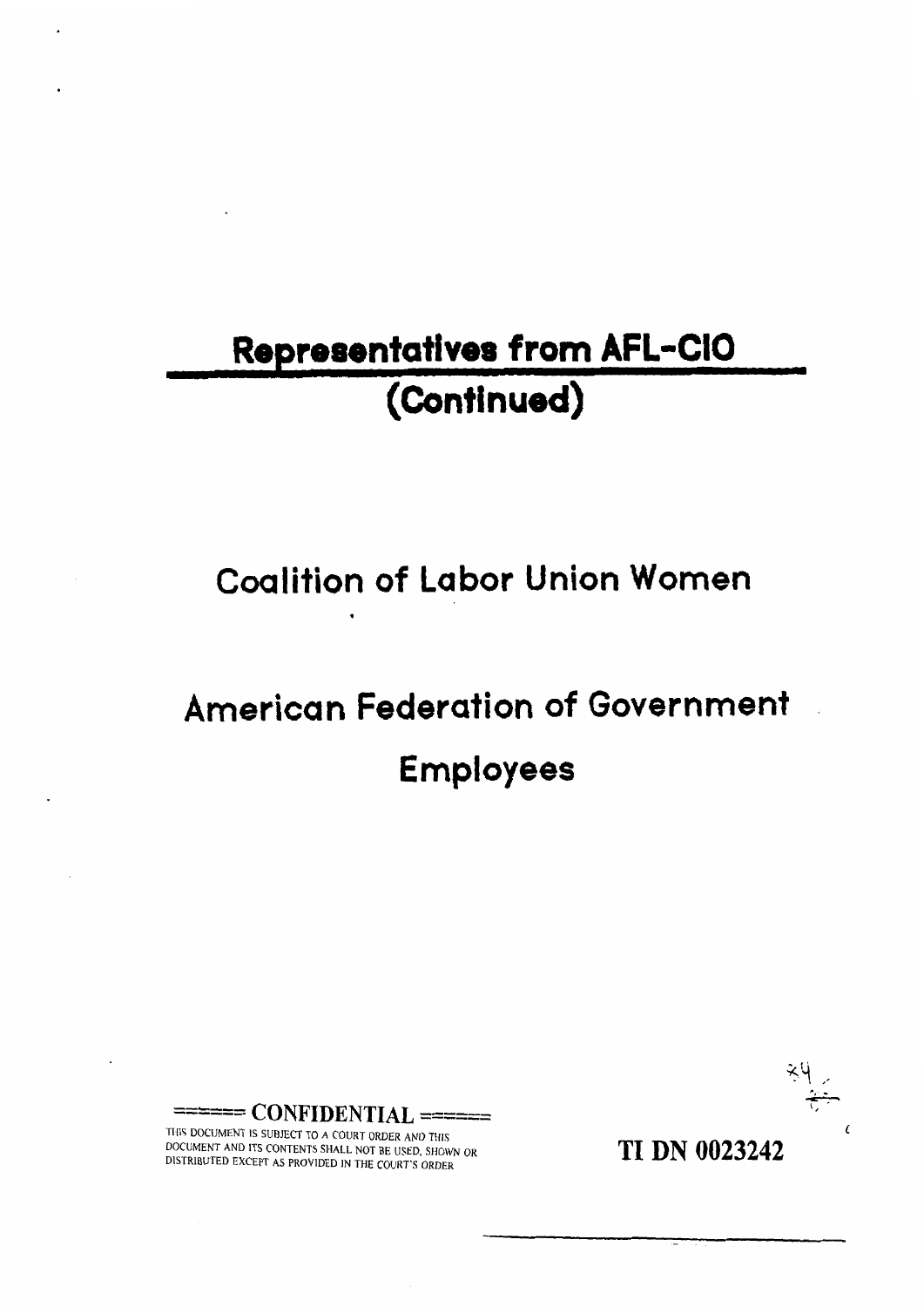## Representatives from AFL-CIO **(Continuad)**

**Coalition of Labor Union Women** 

## **American Federation of Government Employees**

**--c---** \_\_-\_-\_ **CONFIDENTIAL** ======

THIS DOCiJMENT IS SUBJECT TO A COURT ORDER AND THlS DOCUMENT AND ITS CONTENTS SHALL NOT BE USED, SHOWN **OR**  DISTRIBUTED EXCEPT AS PROVIDED IN THE COURT'S ORDER

**TI DN 0023242**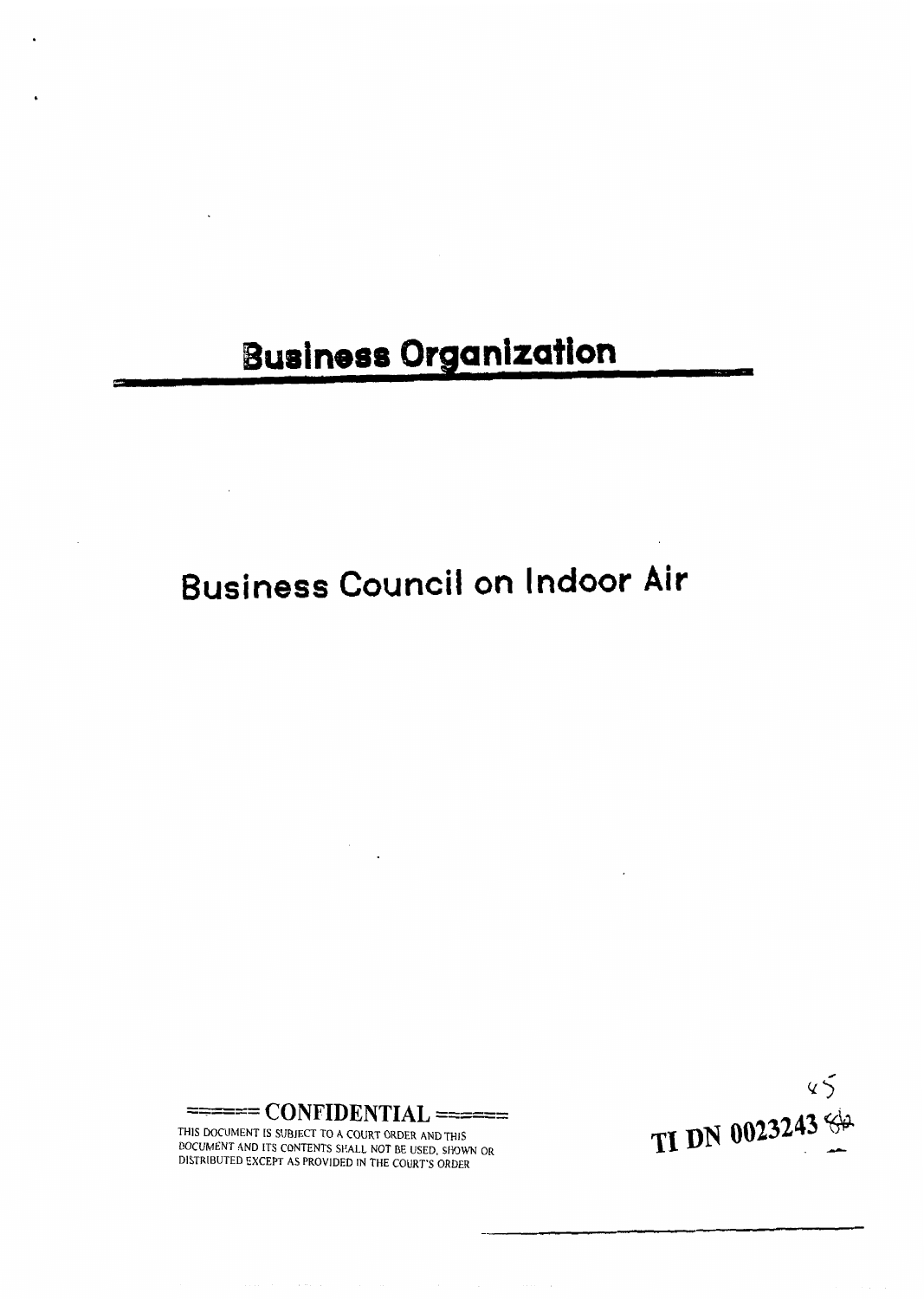## **Business Organization**

### **Business Council on Indoor Air**



THlS DOCUMENT IS SUBJECT TO **A** COURT ORDER AND THlS OCUMENT AND ITS CONTENTS SHALL NOT BE USED, SHOWN OR

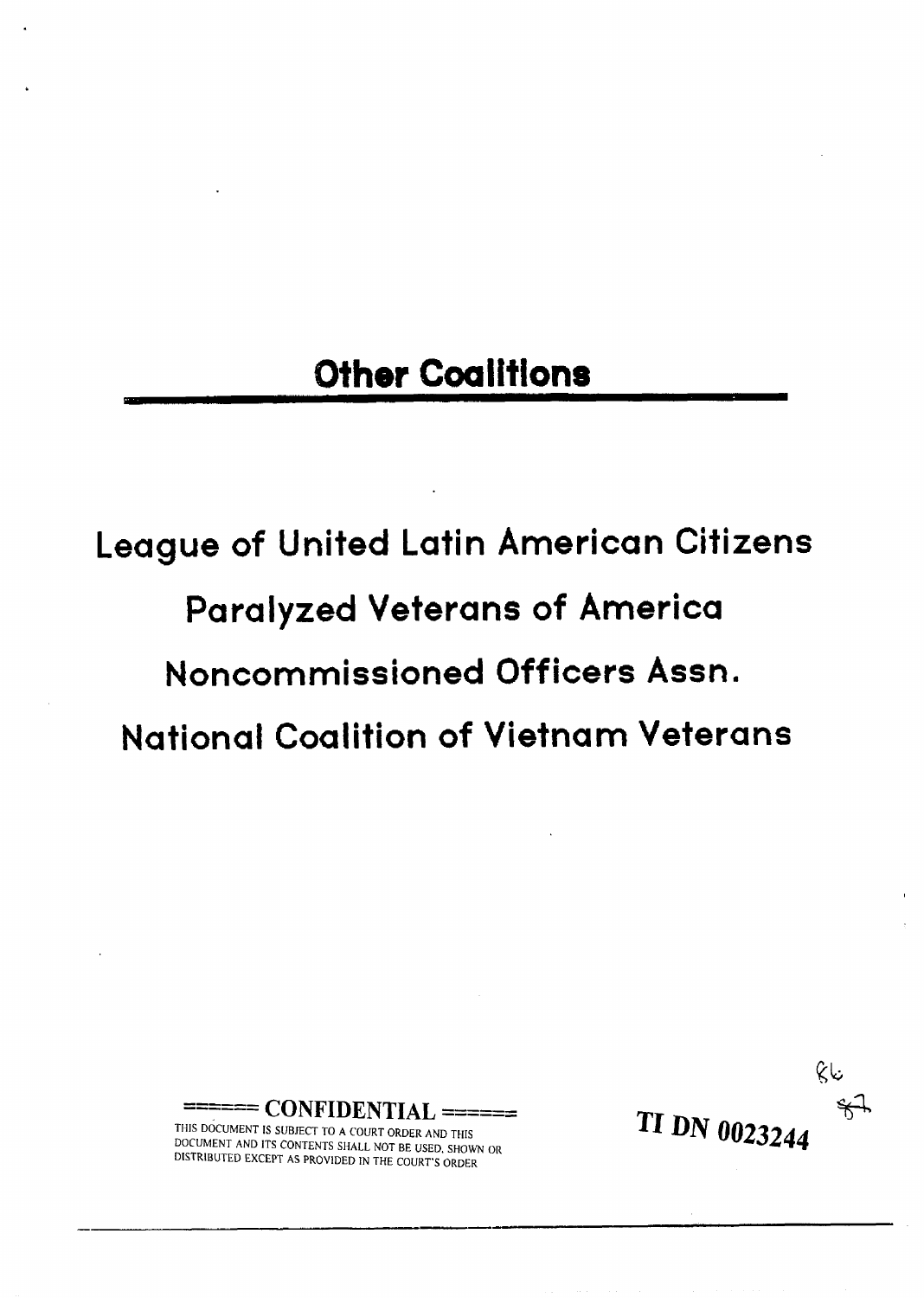#### **Other Coalitions**

## **League of United Latin American Citizens Paralyzed Veterans of America Noncommissioned Officers Assn. National Coalition of Vietnam Veterans**



THIS DOCUMENT IS SUBJECT TO **A** COURT ORDER AND THIS DOCUMENT AND ITS CONTENTS SHALL NOT BE USED. SHOWN OR DISTRIBUTED EXCEPT AS PROVIDED IN THE COURT'S ORDER

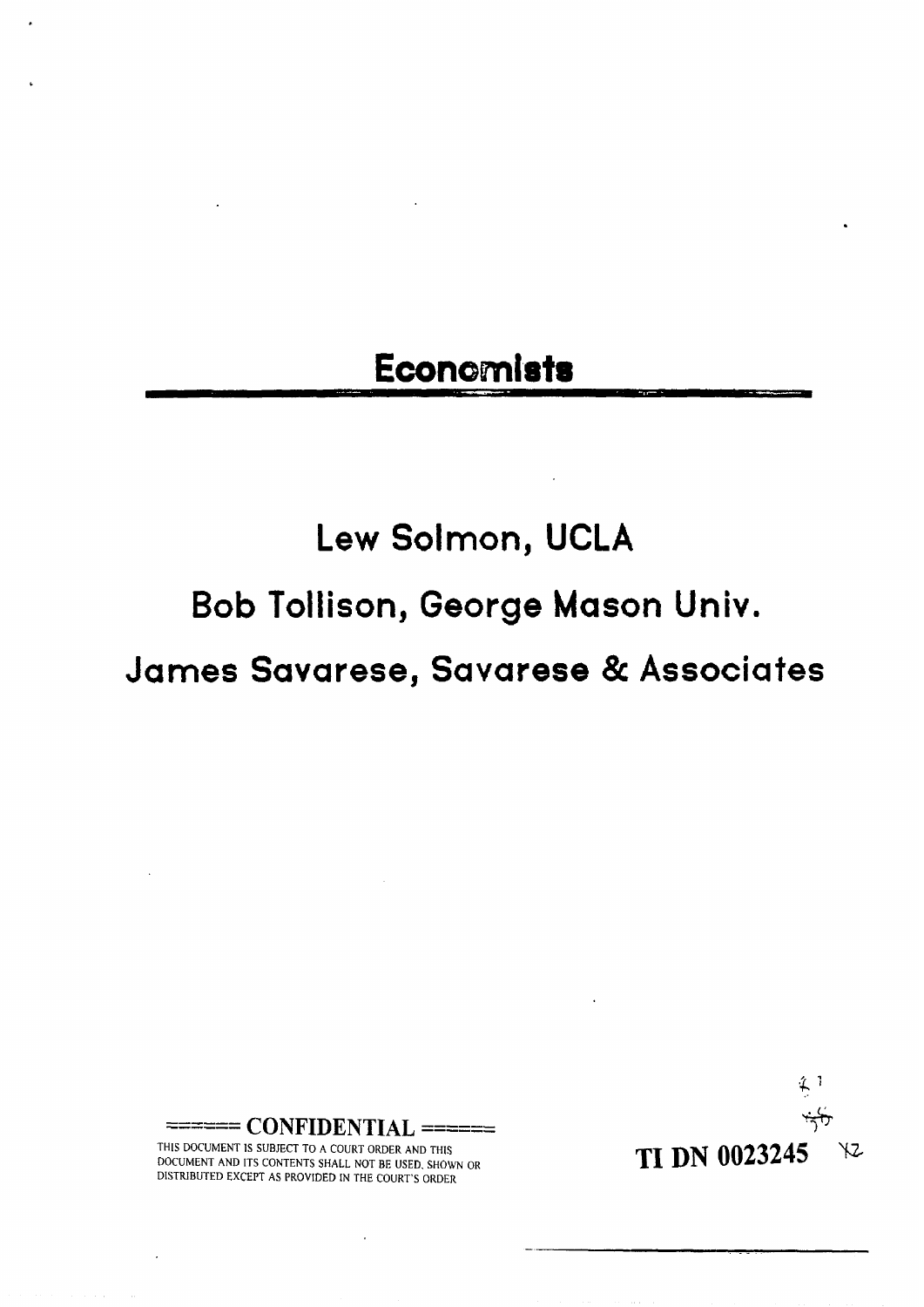#### **Economists**

### **Lew Solmon, UCLA**

**Bob Tollison, George Mason Univ.** 

**James Savarese, Savarese** & **Associates** 



------ **CONFIDENTIAL** ====== THIS DOCUMENT IS SUBJECT TO **A** COURT ORDER AND THlS

DOCUMENT AND ITS CONTENTS SHALL NOT BE USED, SHOWN OR DISTRIBUTED EXCEPT AS PROVIDED IN THE COURT'S ORDER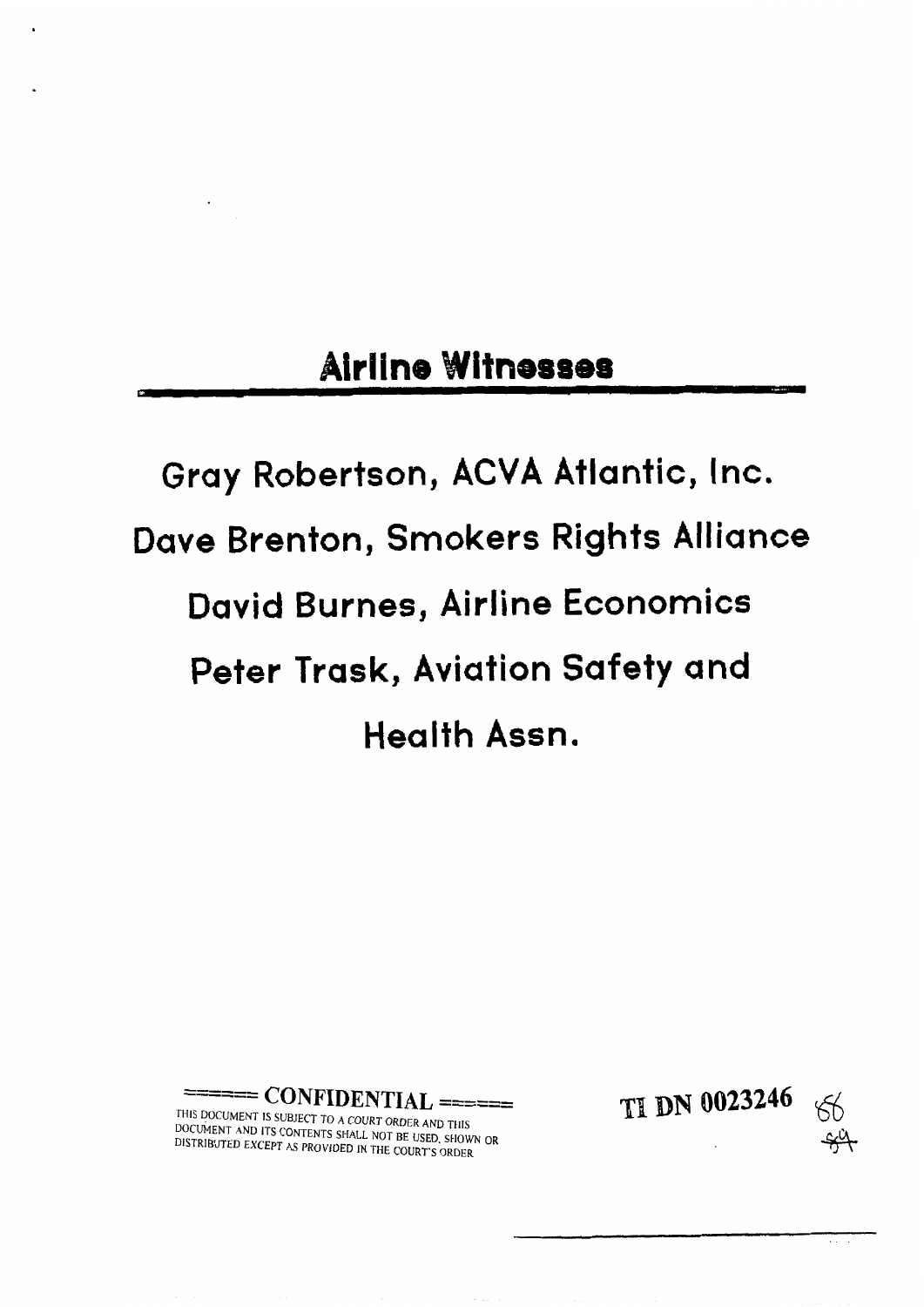#### **Airline Witnesses**

# **Gray Robertson, ACVA Atlantic, Inc. Dave Brenton, Smokers Rights Alliance David Burnes, Airline Economics Peter Trask, Aviation Safety and Health Assn.**

==== **CONFIDENTIAL** ======

THIS DOCUMENT IS SUBJECT TO A COURT ORDER AND THIS OCUMENT AND ITS CONTENTS SHALL USED. BE USED. IT AND THIS DISTRIBUTED EXCEPT AS PROVlOED **IN** THE COURT'S ORDER

**TI DN 0023246** 

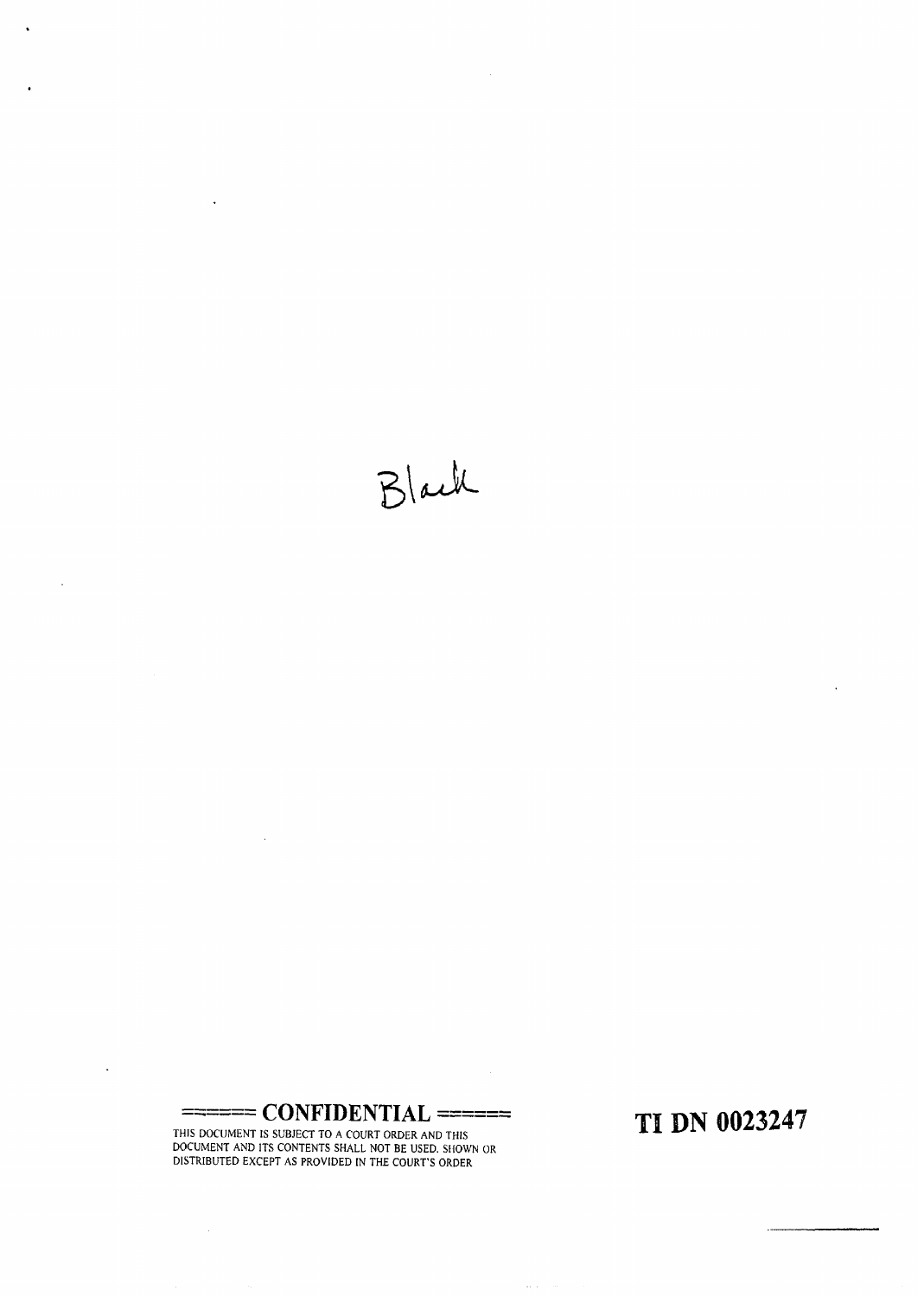Black

 $\ddot{\phantom{1}}$ 

 $\bar{a}$ 

l,

 $\Box$ 

------ **CONFIDENTIAL** ======

 $\mathcal{L}_{\mathcal{A}}$ 

 $\mathcal{A}^{\mathcal{A}}$ 

THIS DOCUMENT IS SUBJECT TO A COURT ORDER AND THlS DOCUMENT AND ITS CONTENTS SHALL NOT BE USED. StiOWN OR ISTRIBUTED EXCEPT AS PROVIDED IN THE COURT'S ORDER

**TI DN 0023247** 

 $\langle \varphi_{\alpha} \rangle_{\alpha}$ 

 $\ddot{\phantom{0}}$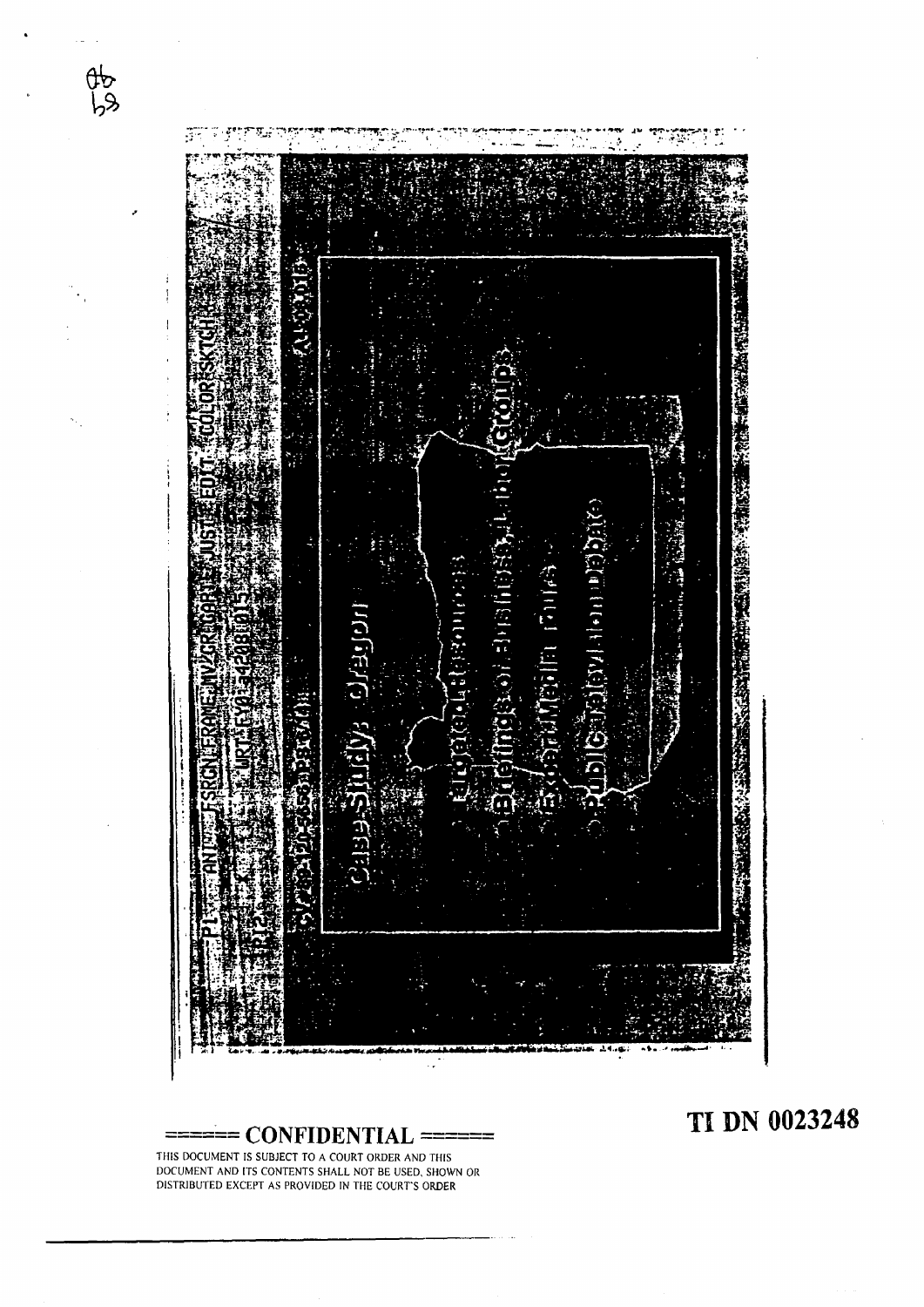

**TI DN 0023248** 

THIS DOCUMENT IS SUBJECT TO A COURT ORDER AND THIS DOCUMENT AND ITS CONTENTS SHALL NOT BE USED. SHOWN OR DISTRIBUTED EXCEPT AS PROVIDED IN THE COURT'S ORDER

 $rac{1}{66}$ 

 $=$  **CONFIDENTIAL**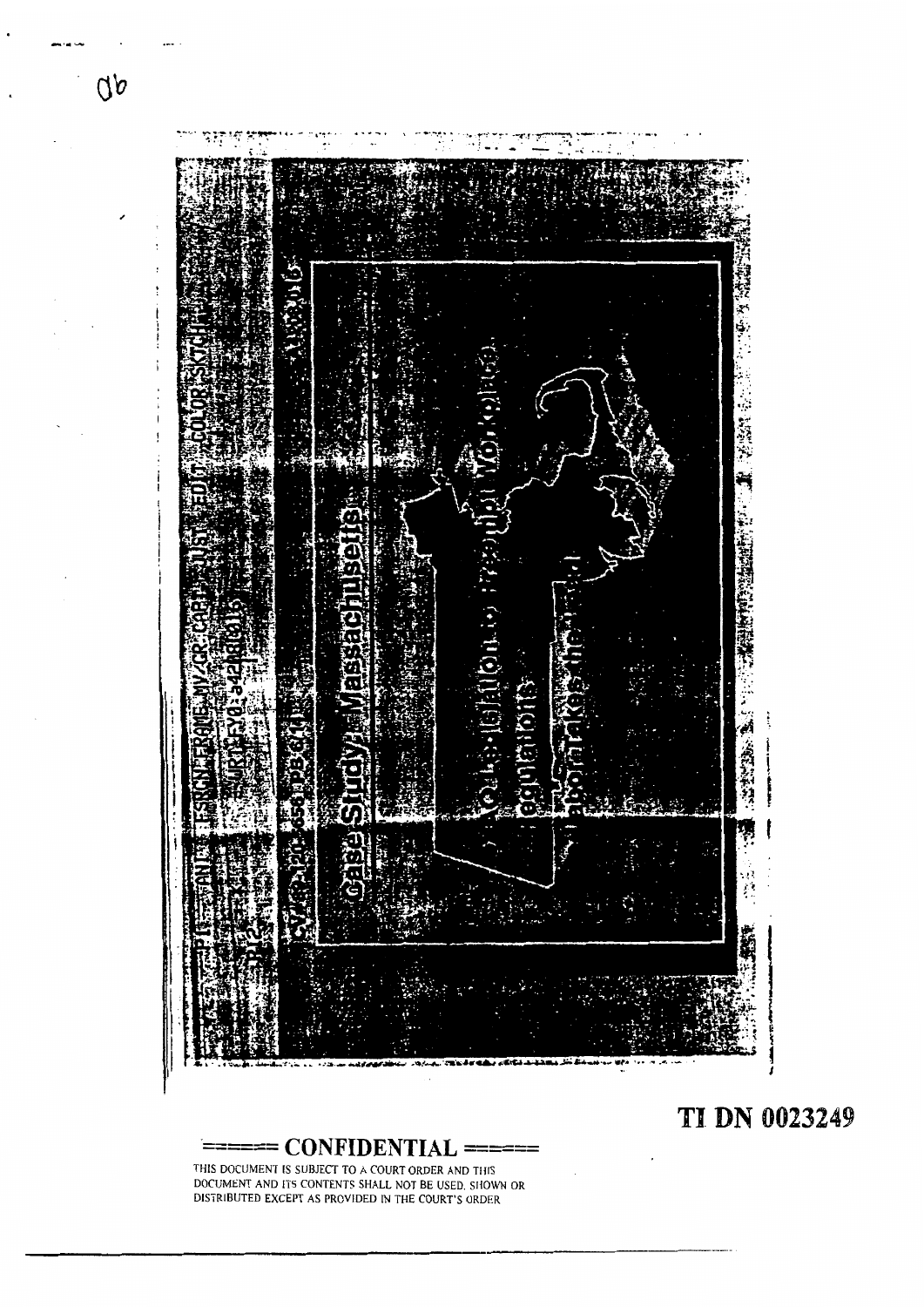

TI DN 0023249

THIS DOCUMENT IS SUBJECT TO A COURT ORDER AND THIS DOCUMENT AND ITS CONTENTS SHALL NOT BE USED. SI4OWN OR DISTRIBUTED EXCEPT AS PROVIDED IN THE COURT'S ORDER

------ \_\_\_\_\_\_ **CONFIDENTIAL** ======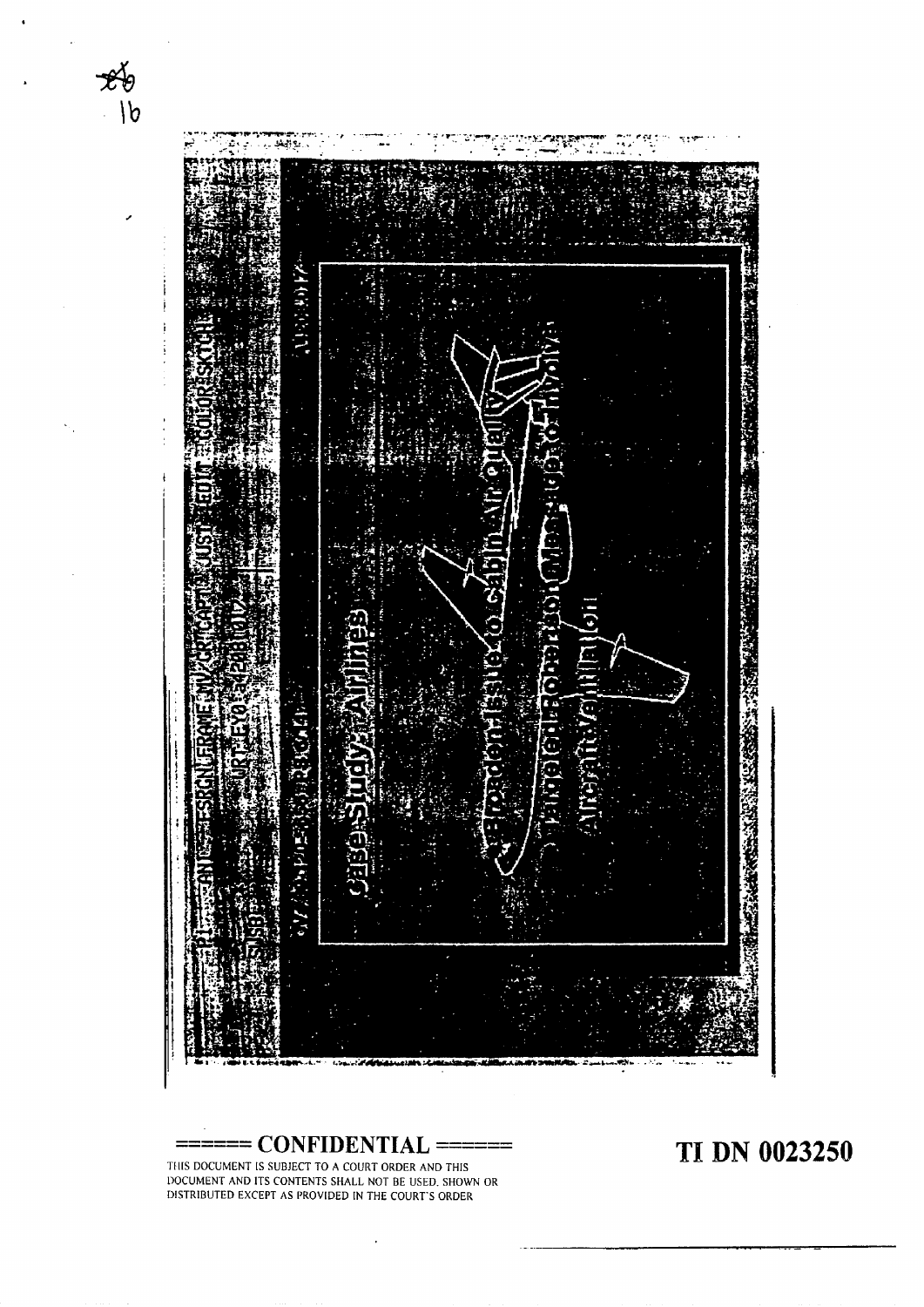

------ **CONFIDENTIAL** ======

 $\overline{a}$ 

**TI DN 0023250** 

TfIlS DOCUMENT IS SUBJECT TO **A** COURT ORDER AND THIS LIOCUMENT AND ITS CONTENTS SHALL NOT BE USED. SHOWN OR DISTRIBUTED EXCEPT AS PROVIDED IN THE COURT'S ORDER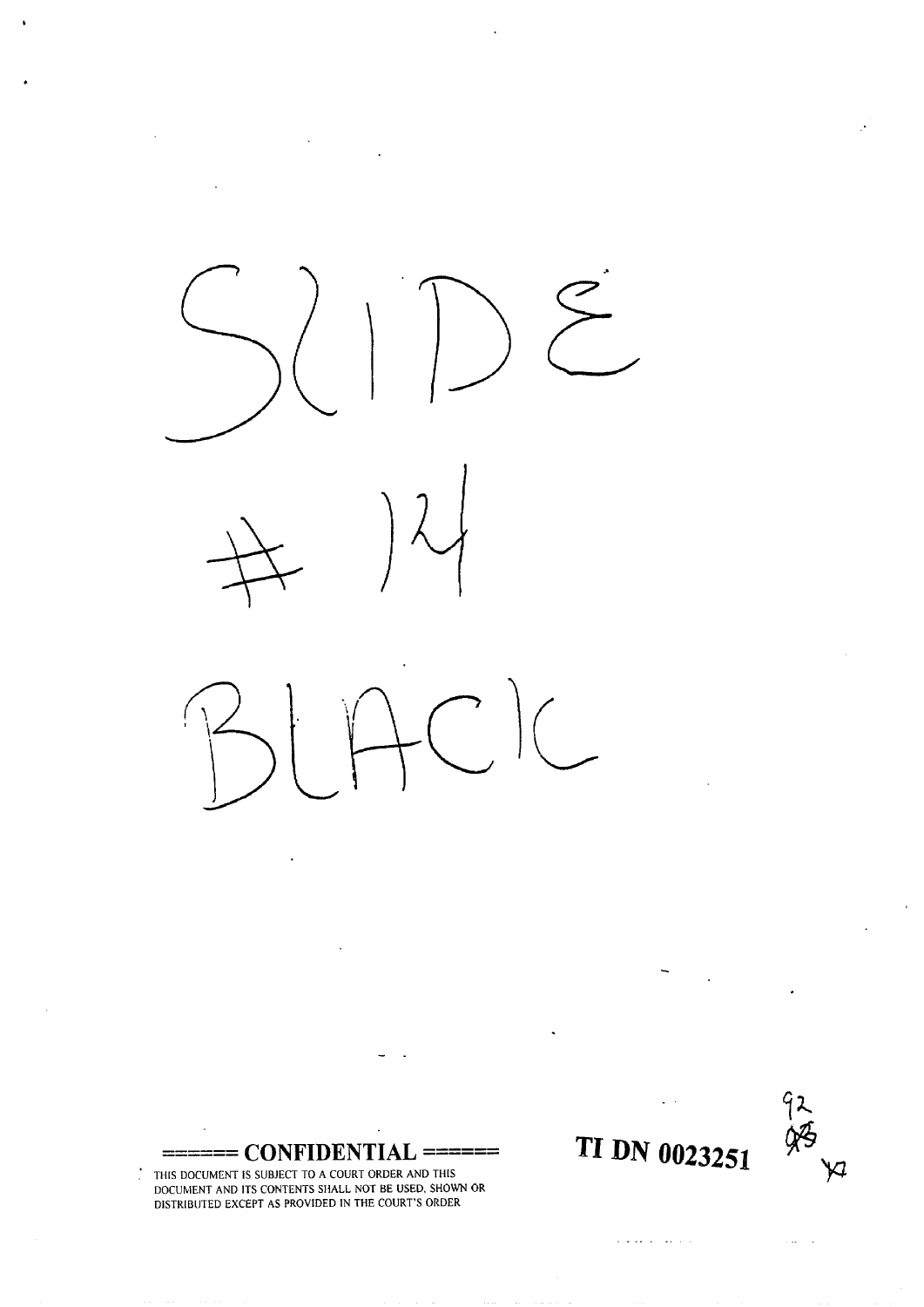

 $\overline{a}$ 

------ **CONFIDENTIAL** ======

.' THIS DOCUMENT IS SUBJECT TO A COURT ORDER AND THIS DOCUMENT AND ITS CONTENTS SHALL NOT BE USED. SHOWN OR DISTRIBUTED EXCEPT AS PROVIDED IN THE COURT'S ORDER



 $\mathbb{Z}^2$  and  $\mathbb{Z}^2$ 

**TI DN 0023251** 

 $\mathbf{r}$  , and  $\mathbf{r}$  , and  $\mathbf{r}$  , and  $\mathbf{r}$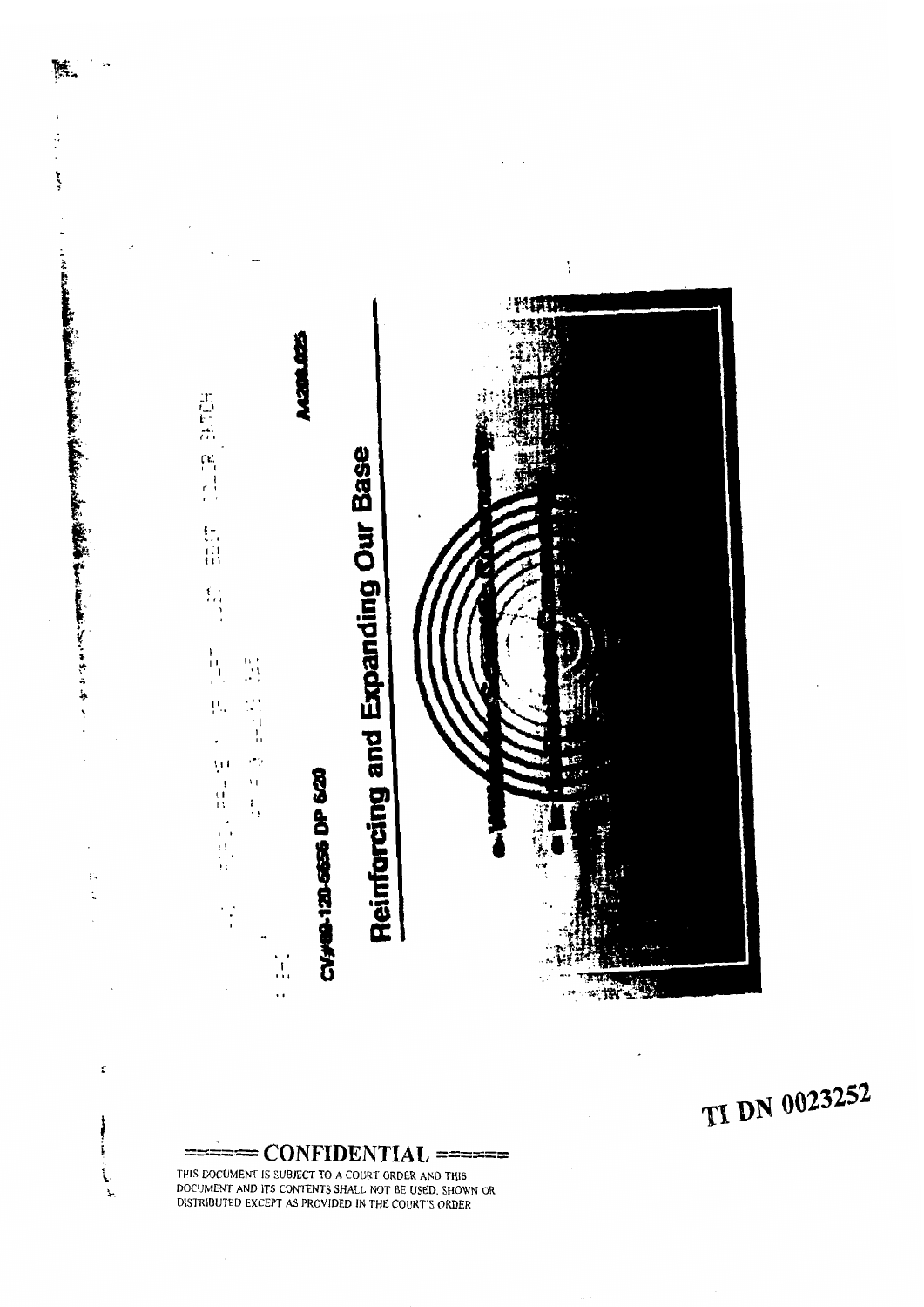

陈.

 $\ddot{\phantom{a}}$ 

 $\frac{1}{2}$ 

بالمجال

ŗ

ŀ  $\backslash$ ٦Ļ.

# TI DN 0023252

CONFIDENTIAL THIS DOCUMENT IS SUBJECT TO A COURT ORDER AND THIS DOCUMENT AND ITS CONTENTS SHALL NOT BE USED, SHOWN OR DISTRIBUTED EXCEPT AS PROVIDED IN THE COURT'S ORDER

----- **-I---- CONFIDENTIAL** ======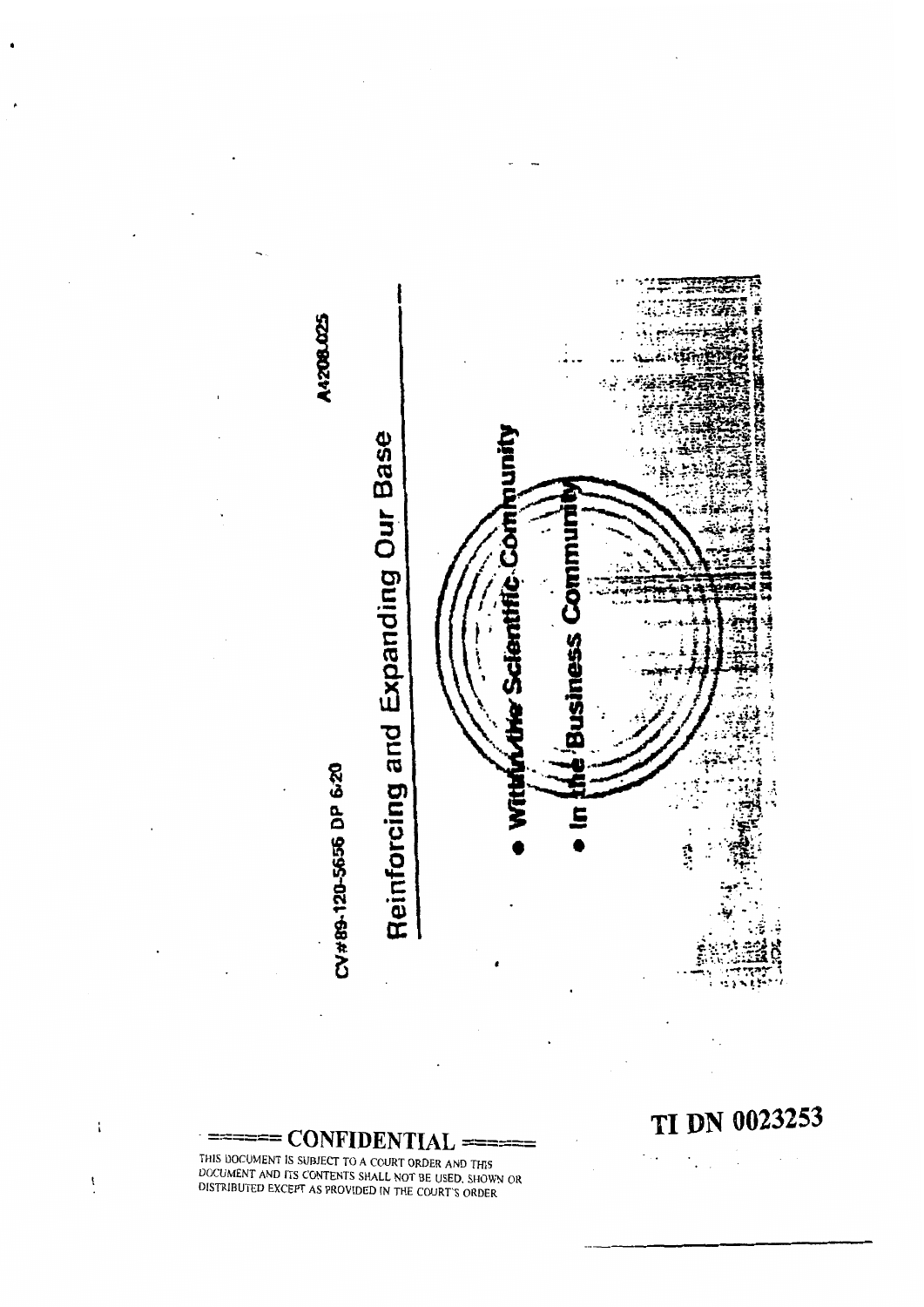



TI DN 0023253

 $\bar{z}$ 

 $\cdot$ 

 $\mathbb{Z}_{\geq 0}$ 

 $=$  **CONFIDENTIAL** THIS DOCUMENT IS SUBJECT TO A COUNT OF DUTIES OF THE SUBJECT TO A COURT OF THE SUBJECT TO A COURT OF THE SUBJECT TO A COURT OF THE SUBJECT TO A COURT OF THE SUBJECT TO A COURT OF THE SUBJECT TO A COURT OF THE SUBJECT TO A S DOCUMENT IS SUBJECT TO A COURT ORDER AND THIS  $\sim$ UMENT AND ITS CONTENTS SHALL NOT BE USED. SHOWN O

 $\mathfrak i$ 

 $\mathbf{I}$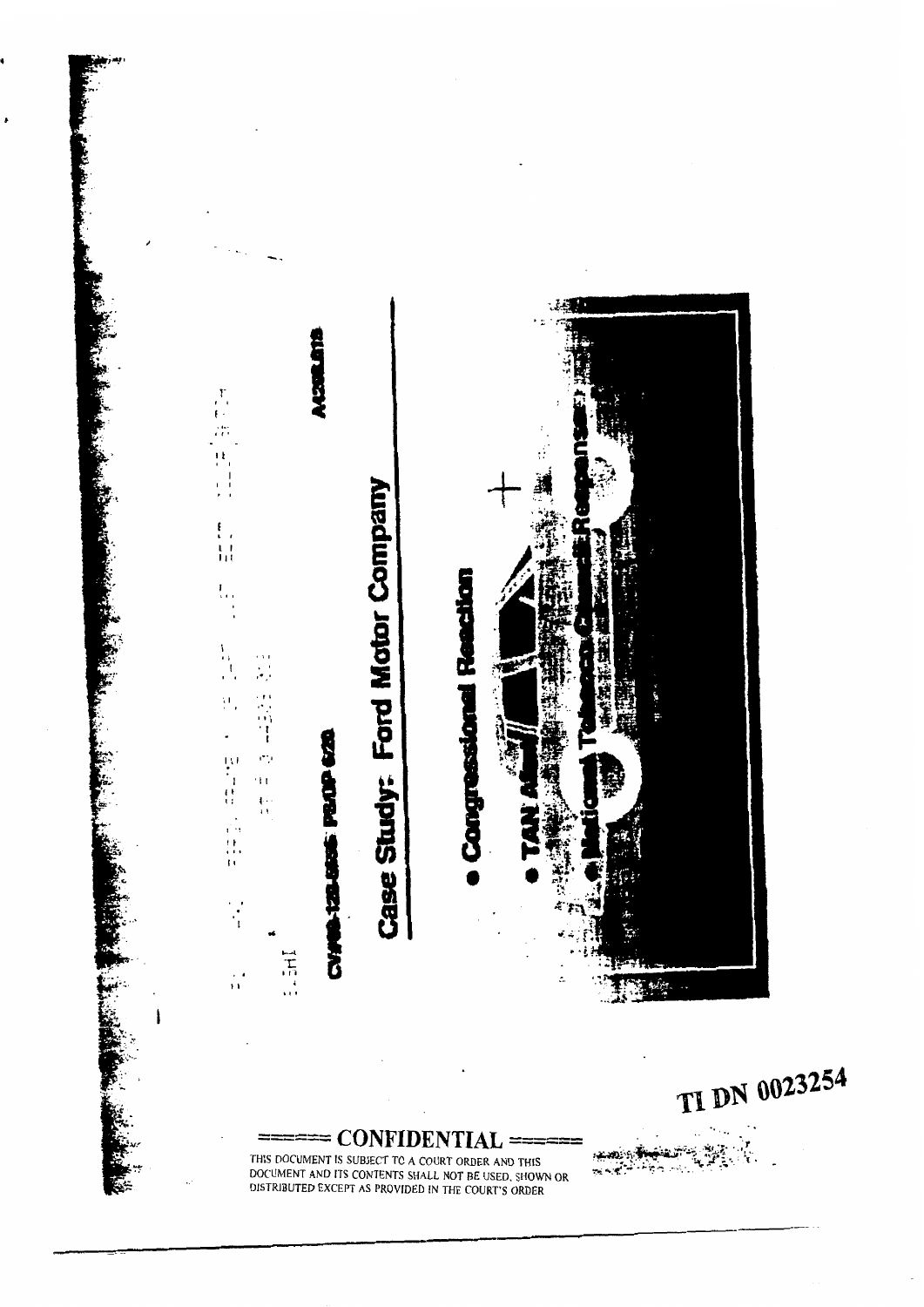

J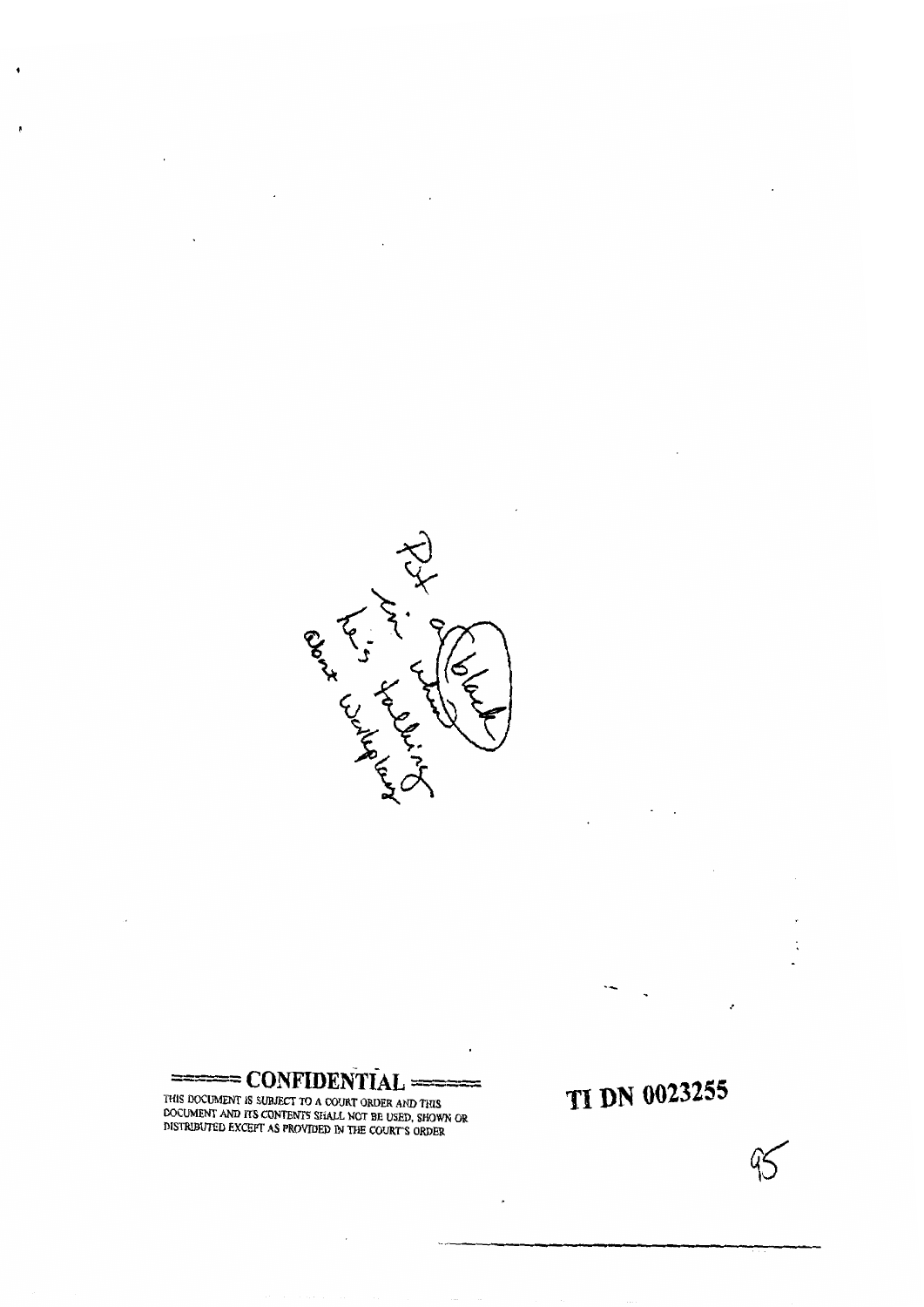

==-"= **C~NFIDEN~~AL** ----  $=$  CONFIDENTIAL ======  $\equiv$ 

,

THIS DOCUMENT IS SUBJECT TO A COURT ORDER AND THIS **DISPUTED IN A PROVIDED IN THE COUNTRY ORDER AND THIS DOCUMENT AND ITS CONTENTS SHALL NOT BE USED, SHOWN OR DISTRIBUTED EXCEPT AS PROVIDED IN THE COURT'S ORDER**  **TI DN 0023255** 

v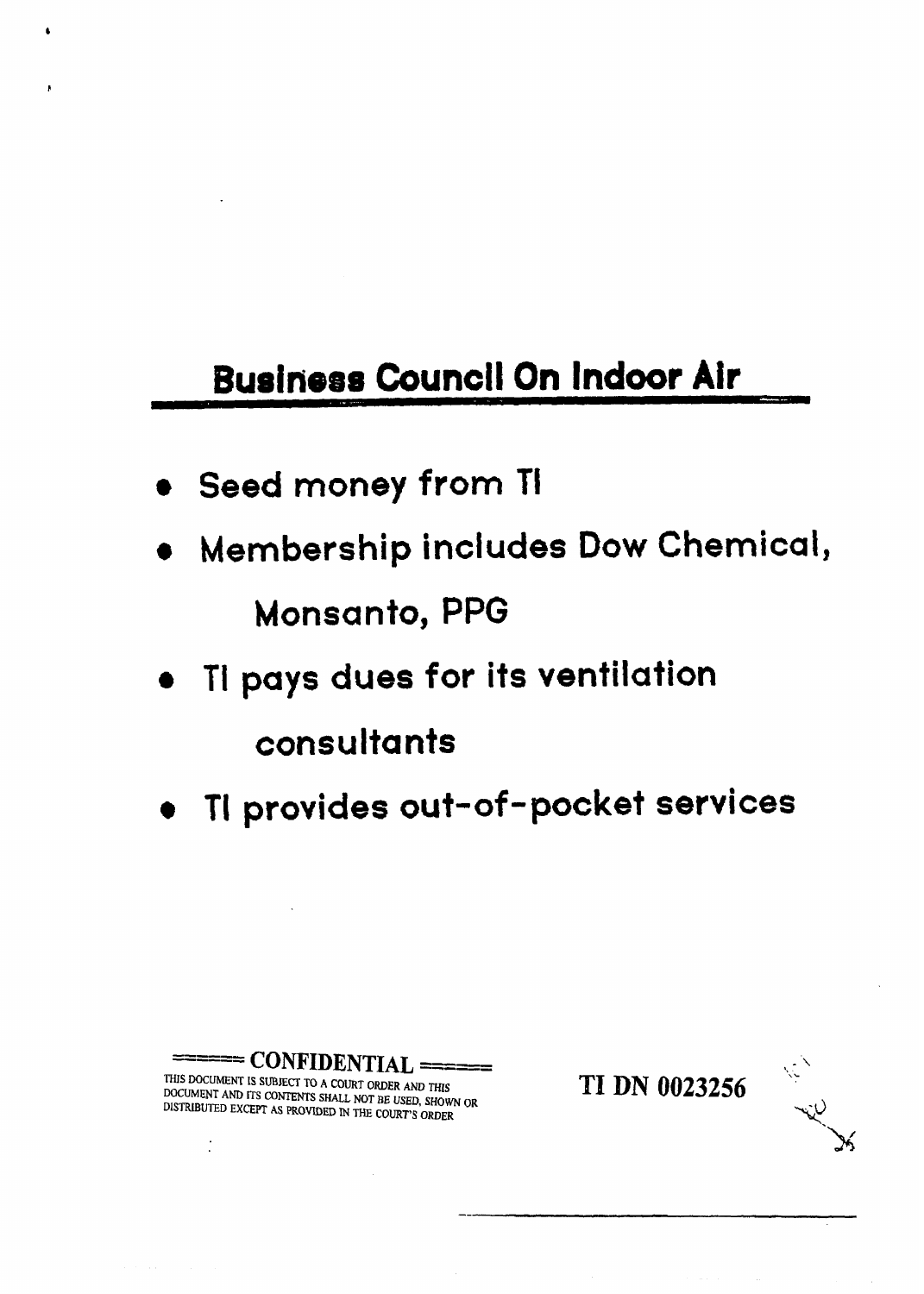## **Business Council On Indoor Air**

- **Seed money from TI**
- **Membership includes Dow Chemical, Monsanto, PPG**
- **TI pays dues for its ventilation consultants**
- **TI provides out-of -pocket services**

 $\overline{C}$  **CONFIDENTIAL** ======<br>MENT IS SUBJECT TO A COURT ORDER AND THIS  $\overline{C}$  **TI** DN 0023256 , . **TI DN 0023256 THIS MCLIMENT IS SUBJECI TO A COURT ORDER AND** THlS DOCUMENT **AND ITS CONTENTS SHALL NOT BE USED, SHOWN OR DISTRIBUTED EXCEPT AS PROVIDED** I'N THE **COURT'S ORDER**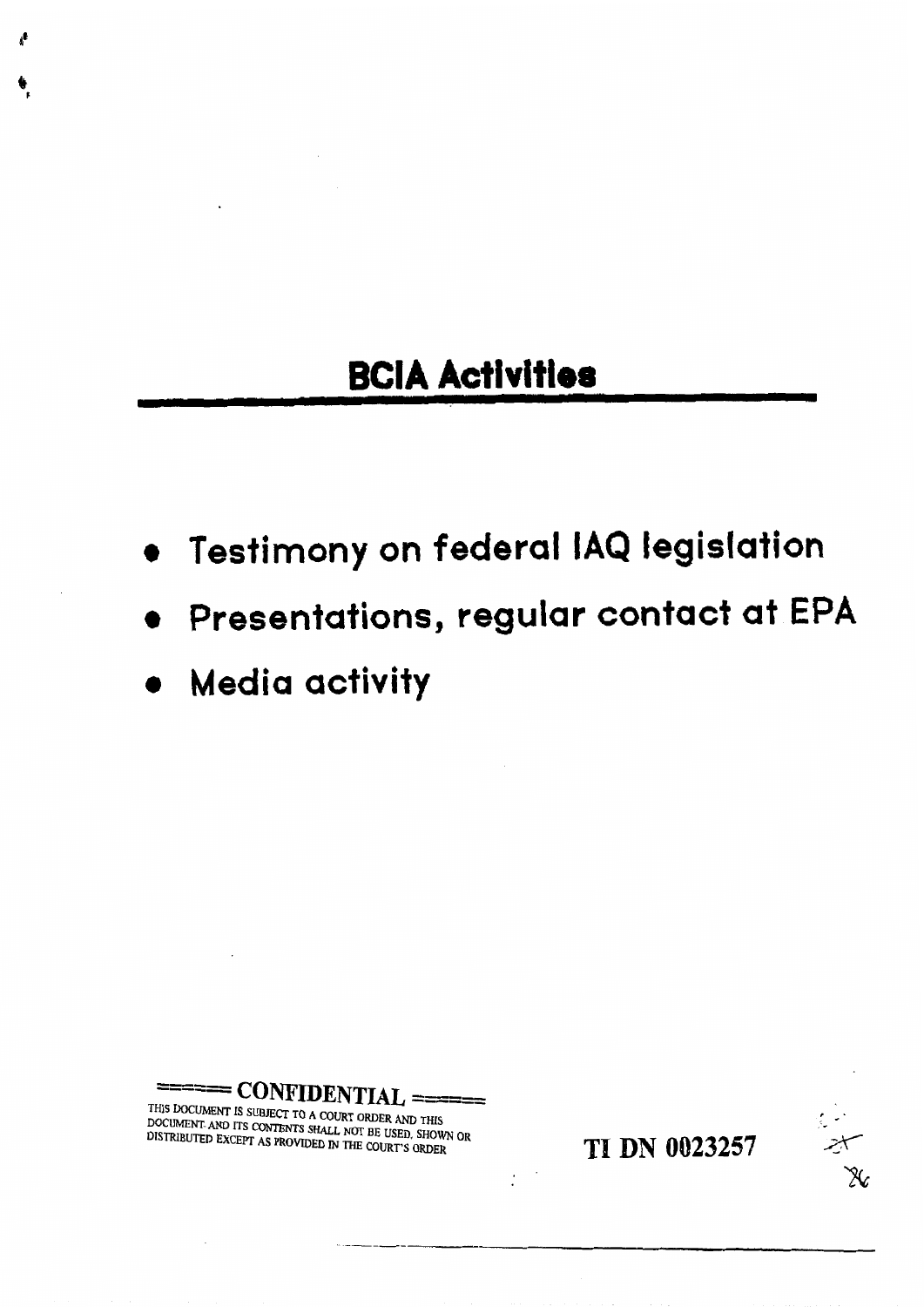### **BClA Activities**

- **Testimony on federal IAQ legislation**
- **Presentations, regular contact at EPA**
- **Media activity**

====== **CONFIDENTIAL THIS DOCUMENT IS SUBJECT TO A COURT ORDER AND THIS DOCUMENT IS SUBJECT TO A COURT ORDER AND THIS DUMENT AND ITS CONTENTS SHALL NOT BE USED. SHOWN OF A PROVIDED AS A PROVIDED** 

**TI DN 0023257** 

X